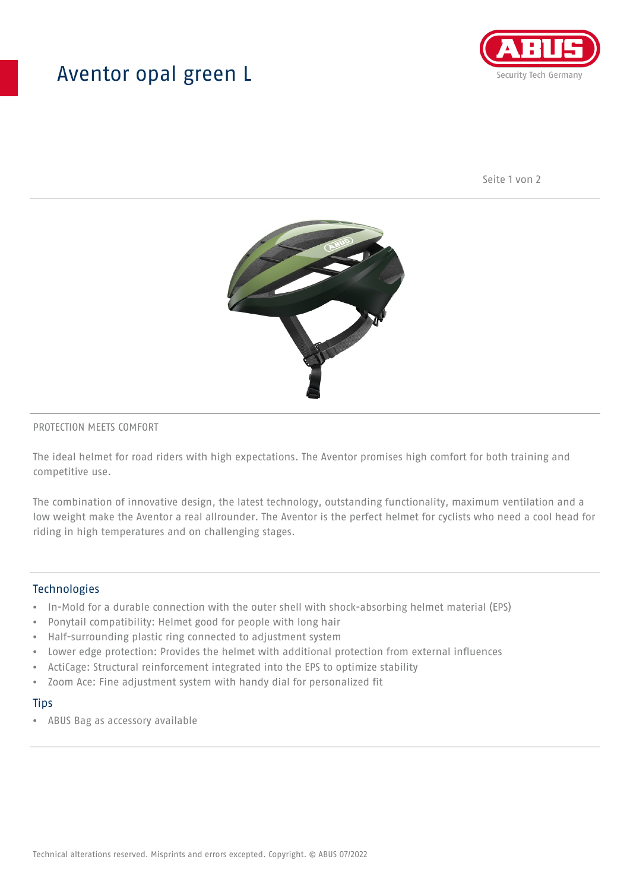## Aventor opal green L



Seite 1 von 2



#### PROTECTION MEETS COMFORT

The ideal helmet for road riders with high expectations. The Aventor promises high comfort for both training and competitive use.

The combination of innovative design, the latest technology, outstanding functionality, maximum ventilation and a low weight make the Aventor a real allrounder. The Aventor is the perfect helmet for cyclists who need a cool head for riding in high temperatures and on challenging stages.

#### **Technologies**

- In-Mold for a durable connection with the outer shell with shock-absorbing helmet material (EPS)
- Ponytail compatibility: Helmet good for people with long hair
- Half-surrounding plastic ring connected to adjustment system
- Lower edge protection: Provides the helmet with additional protection from external influences
- ActiCage: Structural reinforcement integrated into the EPS to optimize stability
- Zoom Ace: Fine adjustment system with handy dial for personalized fit

#### **Tips**

• ABUS Bag as accessory available